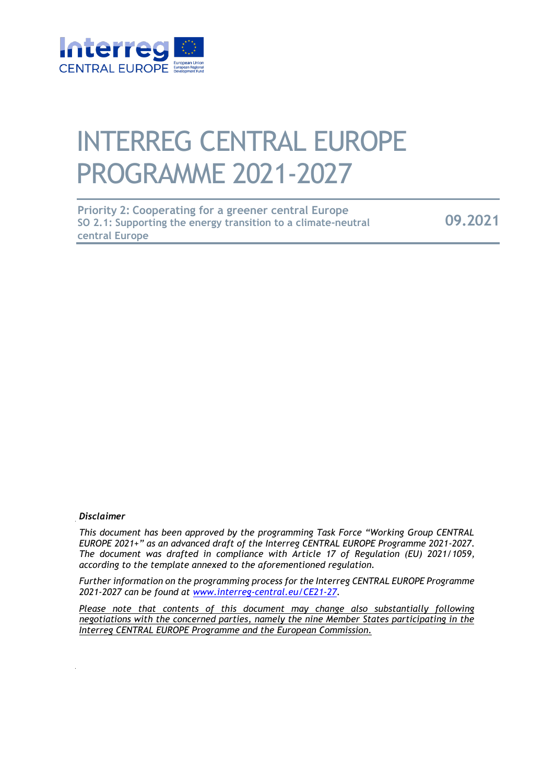

# INTERREG CENTRAL EUROPE PROGRAMME 2021-2027

| <b>Priority 2: Cooperating for a greener central Europe</b>   |         |
|---------------------------------------------------------------|---------|
| SO 2.1: Supporting the energy transition to a climate-neutral | 09.2021 |
| central Europe                                                |         |

#### *Disclaimer*

*This document has been approved by the programming Task Force "Working Group CENTRAL EUROPE 2021+" as an advanced draft of the Interreg CENTRAL EUROPE Programme 2021-2027. The document was drafted in compliance with Article 17 of Regulation (EU) 2021/1059, according to the template annexed to the aforementioned regulation.* 

*Further information on the programming process for the Interreg CENTRAL EUROPE Programme 2021-2027 can be found at www.interreg-central.eu/CE21-27.* 

*Please note that contents of this document may change also substantially following negotiations with the concerned parties, namely the nine Member States participating in the Interreg CENTRAL EUROPE Programme and the European Commission.*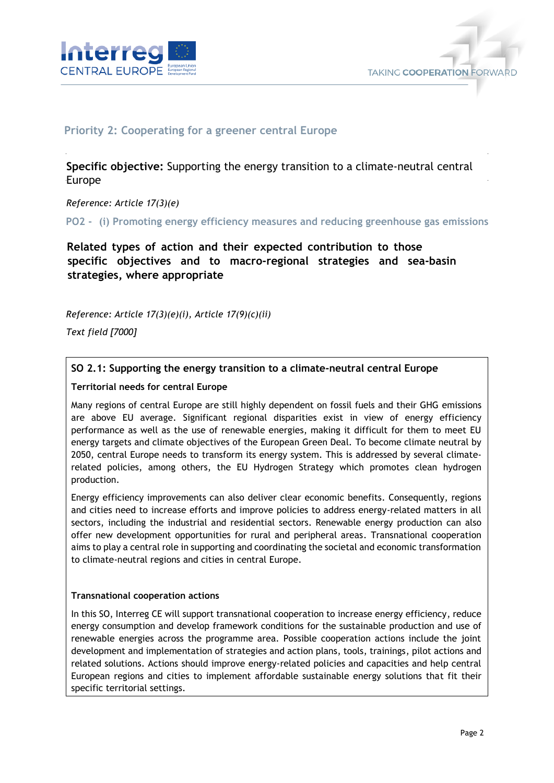



## **Priority 2: Cooperating for a greener central Europe**

**Specific objective:** Supporting the energy transition to a climate-neutral central Europe

*Reference: Article 17(3)(e)* 

**PO2 - (i) Promoting energy efficiency measures and reducing greenhouse gas emissions** 

**Related types of action and their expected contribution to those specific objectives and to macro-regional strategies and sea-basin strategies, where appropriate** 

*Reference: Article 17(3)(e)(i), Article 17(9)(c)(ii)* 

*Text field [7000]* 

## **SO 2.1: Supporting the energy transition to a climate-neutral central Europe**

#### **Territorial needs for central Europe**

Many regions of central Europe are still highly dependent on fossil fuels and their GHG emissions are above EU average. Significant regional disparities exist in view of energy efficiency performance as well as the use of renewable energies, making it difficult for them to meet EU energy targets and climate objectives of the European Green Deal. To become climate neutral by 2050, central Europe needs to transform its energy system. This is addressed by several climaterelated policies, among others, the EU Hydrogen Strategy which promotes clean hydrogen production.

Energy efficiency improvements can also deliver clear economic benefits. Consequently, regions and cities need to increase efforts and improve policies to address energy-related matters in all sectors, including the industrial and residential sectors. Renewable energy production can also offer new development opportunities for rural and peripheral areas. Transnational cooperation aims to play a central role in supporting and coordinating the societal and economic transformation to climate-neutral regions and cities in central Europe.

#### **Transnational cooperation actions**

In this SO, Interreg CE will support transnational cooperation to increase energy efficiency, reduce energy consumption and develop framework conditions for the sustainable production and use of renewable energies across the programme area. Possible cooperation actions include the joint development and implementation of strategies and action plans, tools, trainings, pilot actions and related solutions. Actions should improve energy-related policies and capacities and help central European regions and cities to implement affordable sustainable energy solutions that fit their specific territorial settings.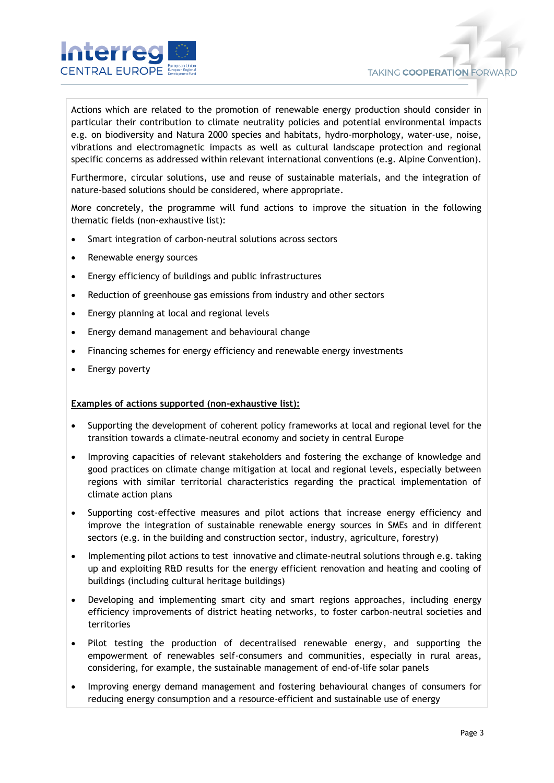

Actions which are related to the promotion of renewable energy production should consider in particular their contribution to climate neutrality policies and potential environmental impacts e.g. on biodiversity and Natura 2000 species and habitats, hydro-morphology, water-use, noise, vibrations and electromagnetic impacts as well as cultural landscape protection and regional specific concerns as addressed within relevant international conventions (e.g. Alpine Convention).

Furthermore, circular solutions, use and reuse of sustainable materials, and the integration of nature-based solutions should be considered, where appropriate.

More concretely, the programme will fund actions to improve the situation in the following thematic fields (non-exhaustive list):

- Smart integration of carbon-neutral solutions across sectors
- Renewable energy sources
- Energy efficiency of buildings and public infrastructures
- Reduction of greenhouse gas emissions from industry and other sectors
- Energy planning at local and regional levels
- Energy demand management and behavioural change
- Financing schemes for energy efficiency and renewable energy investments
- Energy poverty

#### **Examples of actions supported (non-exhaustive list):**

- Supporting the development of coherent policy frameworks at local and regional level for the transition towards a climate-neutral economy and society in central Europe
- Improving capacities of relevant stakeholders and fostering the exchange of knowledge and good practices on climate change mitigation at local and regional levels, especially between regions with similar territorial characteristics regarding the practical implementation of climate action plans
- Supporting cost-effective measures and pilot actions that increase energy efficiency and improve the integration of sustainable renewable energy sources in SMEs and in different sectors (e.g. in the building and construction sector, industry, agriculture, forestry)
- Implementing pilot actions to test innovative and climate-neutral solutions through e.g. taking up and exploiting R&D results for the energy efficient renovation and heating and cooling of buildings (including cultural heritage buildings)
- Developing and implementing smart city and smart regions approaches, including energy efficiency improvements of district heating networks, to foster carbon-neutral societies and territories
- Pilot testing the production of decentralised renewable energy, and supporting the empowerment of renewables self-consumers and communities, especially in rural areas, considering, for example, the sustainable management of end-of-life solar panels
- Improving energy demand management and fostering behavioural changes of consumers for reducing energy consumption and a resource-efficient and sustainable use of energy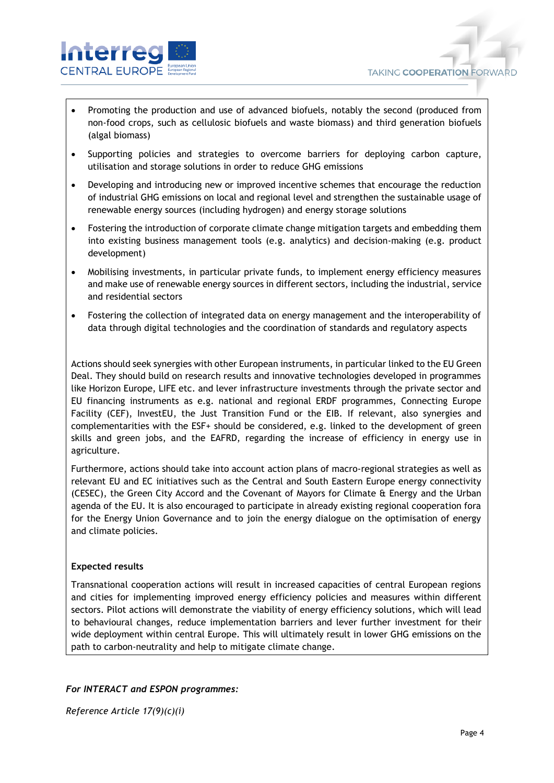

- Promoting the production and use of advanced biofuels, notably the second (produced from non-food crops, such as cellulosic biofuels and waste biomass) and third generation biofuels (algal biomass)
- Supporting policies and strategies to overcome barriers for deploying carbon capture, utilisation and storage solutions in order to reduce GHG emissions
- Developing and introducing new or improved incentive schemes that encourage the reduction of industrial GHG emissions on local and regional level and strengthen the sustainable usage of renewable energy sources (including hydrogen) and energy storage solutions
- Fostering the introduction of corporate climate change mitigation targets and embedding them into existing business management tools (e.g. analytics) and decision-making (e.g. product development)
- Mobilising investments, in particular private funds, to implement energy efficiency measures and make use of renewable energy sources in different sectors, including the industrial, service and residential sectors
- Fostering the collection of integrated data on energy management and the interoperability of data through digital technologies and the coordination of standards and regulatory aspects

Actions should seek synergies with other European instruments, in particular linked to the EU Green Deal. They should build on research results and innovative technologies developed in programmes like Horizon Europe, LIFE etc. and lever infrastructure investments through the private sector and EU financing instruments as e.g. national and regional ERDF programmes, Connecting Europe Facility (CEF), InvestEU, the Just Transition Fund or the EIB. If relevant, also synergies and complementarities with the ESF+ should be considered, e.g. linked to the development of green skills and green jobs, and the EAFRD, regarding the increase of efficiency in energy use in agriculture.

Furthermore, actions should take into account action plans of macro-regional strategies as well as relevant EU and EC initiatives such as the Central and South Eastern Europe energy connectivity (CESEC), the Green City Accord and the Covenant of Mayors for Climate & Energy and the Urban agenda of the EU. It is also encouraged to participate in already existing regional cooperation fora for the Energy Union Governance and to join the energy dialogue on the optimisation of energy and climate policies.

## **Expected results**

Transnational cooperation actions will result in increased capacities of central European regions and cities for implementing improved energy efficiency policies and measures within different sectors. Pilot actions will demonstrate the viability of energy efficiency solutions, which will lead to behavioural changes, reduce implementation barriers and lever further investment for their wide deployment within central Europe. This will ultimately result in lower GHG emissions on the path to carbon-neutrality and help to mitigate climate change.

### *For INTERACT and ESPON programmes:*

*Reference Article 17(9)(c)(i)*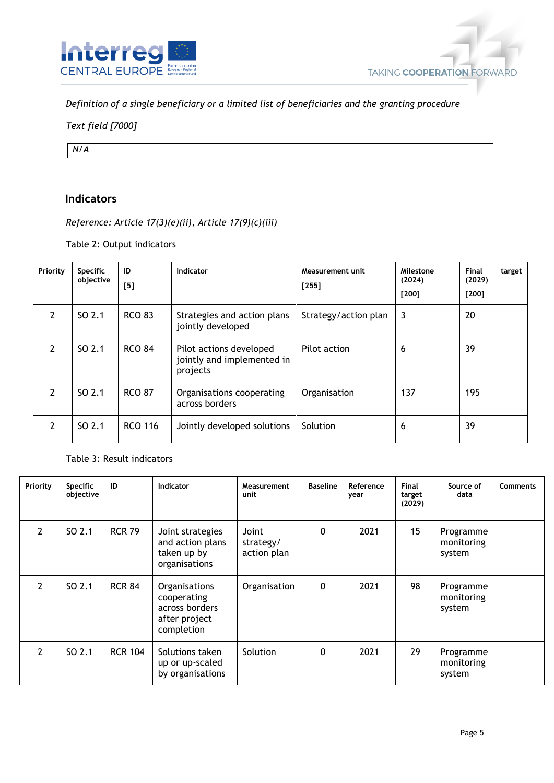

*Definition of a single beneficiary or a limited list of beneficiaries and the granting procedure*

## *Text field [7000]*

*N/A*

# **Indicators**

*Reference: Article 17(3)(e)(ii), Article 17(9)(c)(iii)*

Table 2: Output indicators

| Priority      | <b>Specific</b><br>objective | ID<br>[5]      | Indicator                                                         | Measurement unit<br>$[255]$ | Milestone<br>(2024)<br>$[200]$ | Final<br>target<br>(2029)<br>$[200]$ |
|---------------|------------------------------|----------------|-------------------------------------------------------------------|-----------------------------|--------------------------------|--------------------------------------|
| $\mathcal{P}$ | SO 2.1                       | <b>RCO 83</b>  | Strategies and action plans<br>jointly developed                  | Strategy/action plan        | 3                              | 20                                   |
| 2             | SO 2.1                       | <b>RCO 84</b>  | Pilot actions developed<br>jointly and implemented in<br>projects | Pilot action                | 6                              | 39                                   |
| $\mathcal{P}$ | SO <sub>2.1</sub>            | <b>RCO 87</b>  | Organisations cooperating<br>across borders                       | Organisation                | 137                            | 195                                  |
| 2             | SO 2.1                       | <b>RCO 116</b> | Jointly developed solutions                                       | Solution                    | 6                              | 39                                   |

## Table 3: Result indicators

| Priority      | <b>Specific</b><br>objective | ID             | <b>Indicator</b>                                                              | Measurement<br>unit               | <b>Baseline</b> | Reference<br>year | Final<br>target<br>(2029) | Source of<br>data                 | <b>Comments</b> |
|---------------|------------------------------|----------------|-------------------------------------------------------------------------------|-----------------------------------|-----------------|-------------------|---------------------------|-----------------------------------|-----------------|
| $\mathcal{P}$ | SO 2.1                       | <b>RCR 79</b>  | Joint strategies<br>and action plans<br>taken up by<br>organisations          | Joint<br>strategy/<br>action plan | 0               | 2021              | 15                        | Programme<br>monitoring<br>system |                 |
| $\mathcal{P}$ | SO <sub>2.1</sub>            | <b>RCR 84</b>  | Organisations<br>cooperating<br>across borders<br>after project<br>completion | Organisation                      | $\mathbf 0$     | 2021              | 98                        | Programme<br>monitoring<br>system |                 |
| $\mathcal{P}$ | SO <sub>2.1</sub>            | <b>RCR 104</b> | Solutions taken<br>up or up-scaled<br>by organisations                        | Solution                          | $\Omega$        | 2021              | 29                        | Programme<br>monitoring<br>system |                 |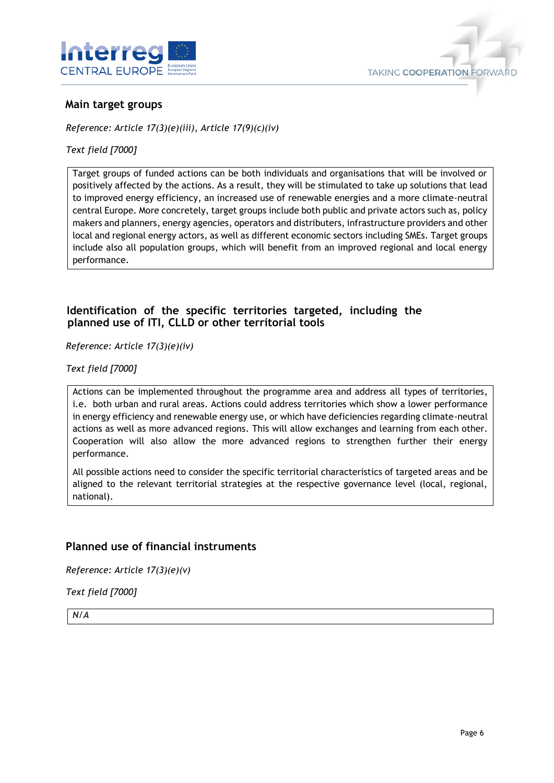



## **Main target groups**

*Reference: Article 17(3)(e)(iii), Article 17(9)(c)(iv)*

*Text field [7000]*

Target groups of funded actions can be both individuals and organisations that will be involved or positively affected by the actions. As a result, they will be stimulated to take up solutions that lead to improved energy efficiency, an increased use of renewable energies and a more climate-neutral central Europe. More concretely, target groups include both public and private actors such as, policy makers and planners, energy agencies, operators and distributers, infrastructure providers and other local and regional energy actors, as well as different economic sectors including SMEs. Target groups include also all population groups, which will benefit from an improved regional and local energy performance.

## **Identification of the specific territories targeted, including the planned use of ITI, CLLD or other territorial tools**

*Reference: Article 17(3)(e)(iv)* 

*Text field [7000]* 

Actions can be implemented throughout the programme area and address all types of territories, i.e. both urban and rural areas. Actions could address territories which show a lower performance in energy efficiency and renewable energy use, or which have deficiencies regarding climate-neutral actions as well as more advanced regions. This will allow exchanges and learning from each other. Cooperation will also allow the more advanced regions to strengthen further their energy performance.

All possible actions need to consider the specific territorial characteristics of targeted areas and be aligned to the relevant territorial strategies at the respective governance level (local, regional, national).

## **Planned use of financial instruments**

*Reference: Article 17(3)(e)(v)*

*Text field [7000]*

*N/A*